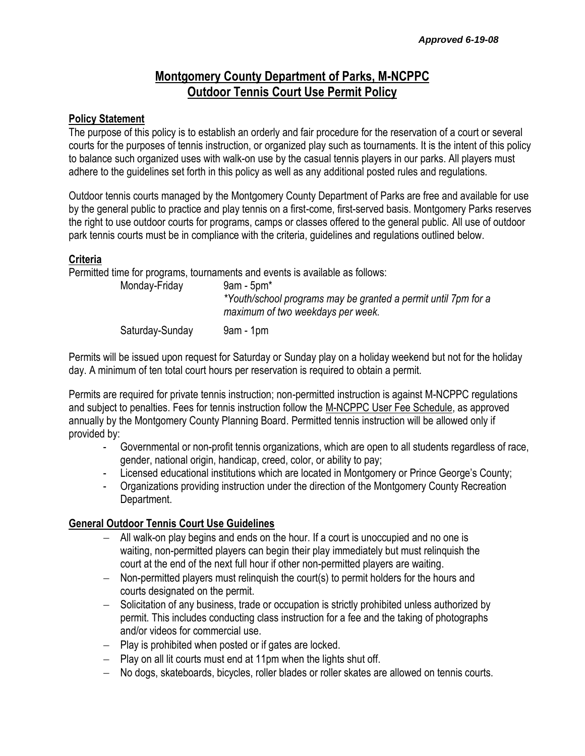# **Montgomery County Department of Parks, M-NCPPC Outdoor Tennis Court Use Permit Policy**

#### **Policy Statement**

The purpose of this policy is to establish an orderly and fair procedure for the reservation of a court or several courts for the purposes of tennis instruction, or organized play such as tournaments. It is the intent of this policy to balance such organized uses with walk-on use by the casual tennis players in our parks. All players must adhere to the guidelines set forth in this policy as well as any additional posted rules and regulations.

Outdoor tennis courts managed by the Montgomery County Department of Parks are free and available for use by the general public to practice and play tennis on a first-come, first-served basis. Montgomery Parks reserves the right to use outdoor courts for programs, camps or classes offered to the general public. All use of outdoor park tennis courts must be in compliance with the criteria, guidelines and regulations outlined below.

#### **Criteria**

Permitted time for programs, tournaments and events is available as follows:

| Monday-Friday   | $9am - 5pm^*$<br>*Youth/school programs may be granted a permit until 7pm for a<br>maximum of two weekdays per week. |
|-----------------|----------------------------------------------------------------------------------------------------------------------|
| Saturday-Sunday | $9am - 1pm$                                                                                                          |

Permits will be issued upon request for Saturday or Sunday play on a holiday weekend but not for the holiday day. A minimum of ten total court hours per reservation is required to obtain a permit.

Permits are required for private tennis instruction; non-permitted instruction is against M-NCPPC regulations and subject to penalties. Fees for tennis instruction follow the M-NCPPC User Fee Schedule, as approved annually by the Montgomery County Planning Board. Permitted tennis instruction will be allowed only if provided by:

- Governmental or non-profit tennis organizations, which are open to all students regardless of race, gender, national origin, handicap, creed, color, or ability to pay;
- Licensed educational institutions which are located in Montgomery or Prince George's County;
- Organizations providing instruction under the direction of the Montgomery County Recreation Department.

#### **General Outdoor Tennis Court Use Guidelines**

- All walk-on play begins and ends on the hour. If a court is unoccupied and no one is waiting, non-permitted players can begin their play immediately but must relinquish the court at the end of the next full hour if other non-permitted players are waiting.
- Non-permitted players must relinquish the court(s) to permit holders for the hours and courts designated on the permit.
- Solicitation of any business, trade or occupation is strictly prohibited unless authorized by permit. This includes conducting class instruction for a fee and the taking of photographs and/or videos for commercial use.
- $-$  Play is prohibited when posted or if gates are locked.
- $-$  Play on all lit courts must end at 11pm when the lights shut off.
- No dogs, skateboards, bicycles, roller blades or roller skates are allowed on tennis courts.